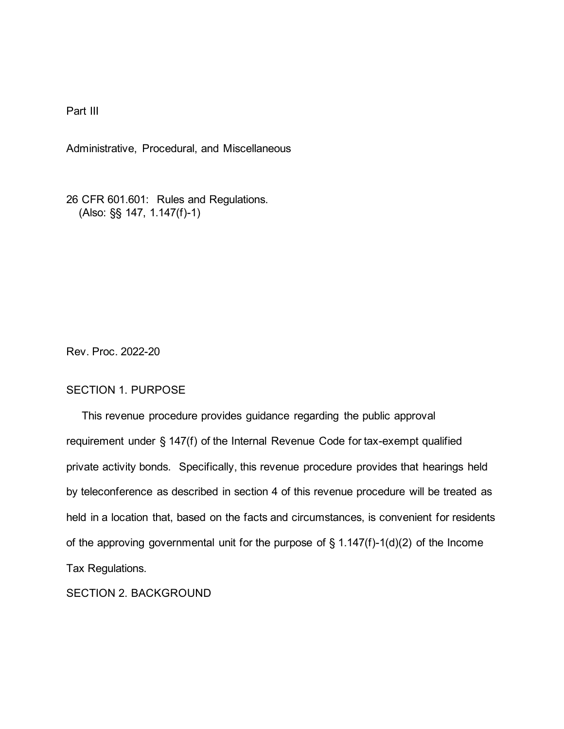Part III

Administrative, Procedural, and Miscellaneous

26 CFR 601.601: Rules and Regulations. (Also: §§ 147, 1.147(f)-1)

Rev. Proc. 2022-20

# SECTION 1. PURPOSE

 This revenue procedure provides guidance regarding the public approval requirement under § 147(f) of the Internal Revenue Code for tax-exempt qualified private activity bonds. Specifically, this revenue procedure provides that hearings held by teleconference as described in section 4 of this revenue procedure will be treated as held in a location that, based on the facts and circumstances, is convenient for residents of the approving governmental unit for the purpose of  $\S$  1.147(f)-1(d)(2) of the Income Tax Regulations.

SECTION 2. BACKGROUND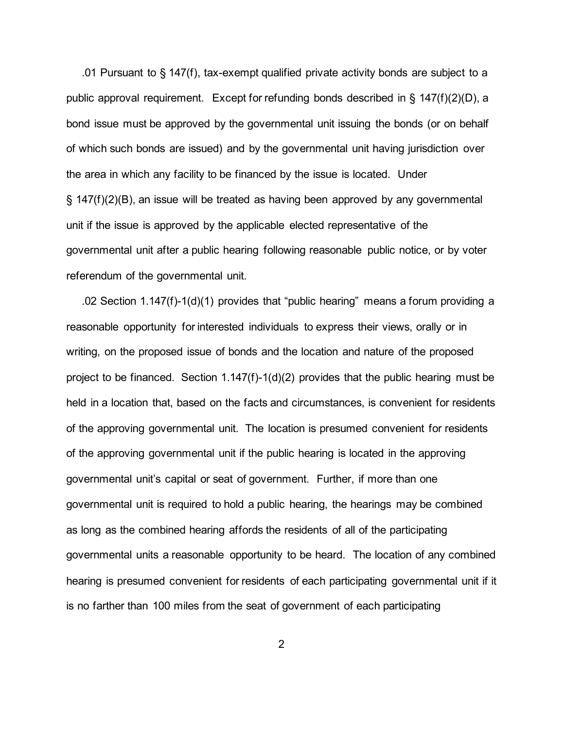.01 Pursuant to § 147(f), tax-exempt qualified private activity bonds are subject to a public approval requirement. Except for refunding bonds described in § 147(f)(2)(D), a bond issue must be approved by the governmental unit issuing the bonds (or on behalf of which such bonds are issued) and by the governmental unit having jurisdiction over the area in which any facility to be financed by the issue is located. Under § 147(f)(2)(B), an issue will be treated as having been approved by any governmental unit if the issue is approved by the applicable elected representative of the governmental unit after a public hearing following reasonable public notice, or by voter referendum of the governmental unit.

 .02 Section 1.147(f)-1(d)(1) provides that "public hearing" means a forum providing a reasonable opportunity for interested individuals to express their views, orally or in writing, on the proposed issue of bonds and the location and nature of the proposed project to be financed. Section 1.147(f)-1(d)(2) provides that the public hearing must be held in a location that, based on the facts and circumstances, is convenient for residents of the approving governmental unit. The location is presumed convenient for residents of the approving governmental unit if the public hearing is located in the approving governmental unit's capital or seat of government. Further, if more than one governmental unit is required to hold a public hearing, the hearings may be combined as long as the combined hearing affords the residents of all of the participating governmental units a reasonable opportunity to be heard. The location of any combined hearing is presumed convenient for residents of each participating governmental unit if it is no farther than 100 miles from the seat of government of each participating

2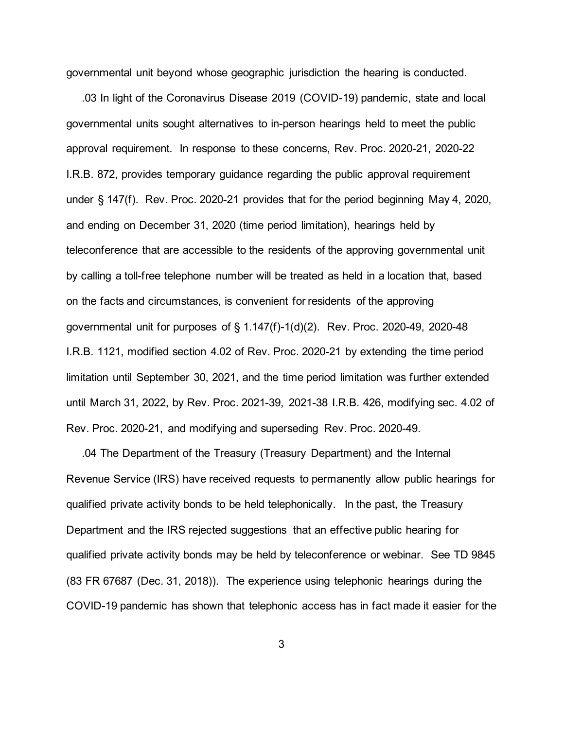governmental unit beyond whose geographic jurisdiction the hearing is conducted.

 .03 In light of the Coronavirus Disease 2019 (COVID-19) pandemic, state and local governmental units sought alternatives to in-person hearings held to meet the public approval requirement. In response to these concerns, Rev. Proc. 2020-21, 2020-22 I.R.B. 872, provides temporary guidance regarding the public approval requirement under § 147(f). Rev. Proc. 2020-21 provides that for the period beginning May 4, 2020, and ending on December 31, 2020 (time period limitation), hearings held by teleconference that are accessible to the residents of the approving governmental unit by calling a toll-free telephone number will be treated as held in a location that, based on the facts and circumstances, is convenient for residents of the approving governmental unit for purposes of § 1.147(f)-1(d)(2). Rev. Proc. 2020-49, 2020-48 I.R.B. 1121, modified section 4.02 of Rev. Proc. 2020-21 by extending the time period limitation until September 30, 2021, and the time period limitation was further extended until March 31, 2022, by Rev. Proc. 2021-39, 2021-38 I.R.B. 426, modifying sec. 4.02 of Rev. Proc. 2020-21, and modifying and superseding Rev. Proc. 2020-49.

 .04 The Department of the Treasury (Treasury Department) and the Internal Revenue Service (IRS) have received requests to permanently allow public hearings for qualified private activity bonds to be held telephonically. In the past, the Treasury Department and the IRS rejected suggestions that an effective public hearing for qualified private activity bonds may be held by teleconference or webinar. See TD 9845 (83 FR 67687 (Dec. 31, 2018)). The experience using telephonic hearings during the COVID-19 pandemic has shown that telephonic access has in fact made it easier for the

3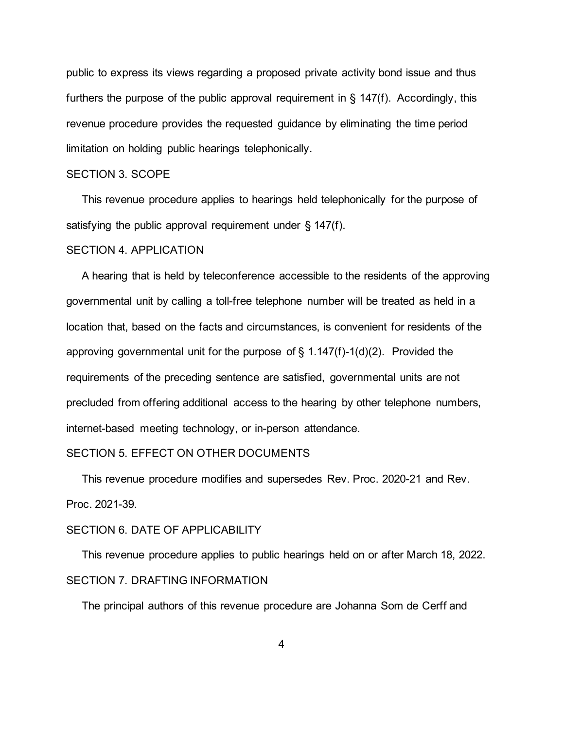public to express its views regarding a proposed private activity bond issue and thus furthers the purpose of the public approval requirement in  $\S$  147(f). Accordingly, this revenue procedure provides the requested guidance by eliminating the time period limitation on holding public hearings telephonically.

# SECTION 3. SCOPE

 This revenue procedure applies to hearings held telephonically for the purpose of satisfying the public approval requirement under § 147(f).

#### SECTION 4. APPLICATION

 A hearing that is held by teleconference accessible to the residents of the approving governmental unit by calling a toll-free telephone number will be treated as held in a location that, based on the facts and circumstances, is convenient for residents of the approving governmental unit for the purpose of  $\S$  1.147(f)-1(d)(2). Provided the requirements of the preceding sentence are satisfied, governmental units are not precluded from offering additional access to the hearing by other telephone numbers, internet-based meeting technology, or in-person attendance.

## SECTION 5. EFFECT ON OTHER DOCUMENTS

 This revenue procedure modifies and supersedes Rev. Proc. 2020-21 and Rev. Proc. 2021-39.

## SECTION 6. DATE OF APPLICABILITY

 This revenue procedure applies to public hearings held on or after March 18, 2022. SECTION 7. DRAFTING INFORMATION

The principal authors of this revenue procedure are Johanna Som de Cerff and